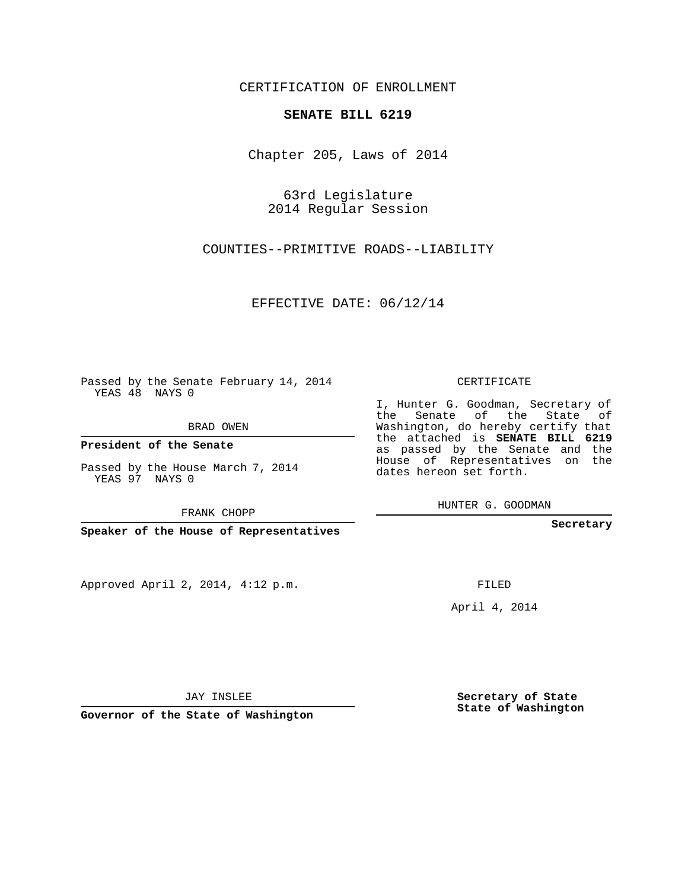## CERTIFICATION OF ENROLLMENT

## **SENATE BILL 6219**

Chapter 205, Laws of 2014

63rd Legislature 2014 Regular Session

COUNTIES--PRIMITIVE ROADS--LIABILITY

EFFECTIVE DATE: 06/12/14

Passed by the Senate February 14, 2014 YEAS 48 NAYS 0

BRAD OWEN

**President of the Senate**

Passed by the House March 7, 2014 YEAS 97 NAYS 0

FRANK CHOPP

**Speaker of the House of Representatives**

Approved April 2, 2014, 4:12 p.m.

CERTIFICATE

I, Hunter G. Goodman, Secretary of the Senate of the State of Washington, do hereby certify that the attached is **SENATE BILL 6219** as passed by the Senate and the House of Representatives on the dates hereon set forth.

HUNTER G. GOODMAN

**Secretary**

FILED

April 4, 2014

**Secretary of State State of Washington**

JAY INSLEE

**Governor of the State of Washington**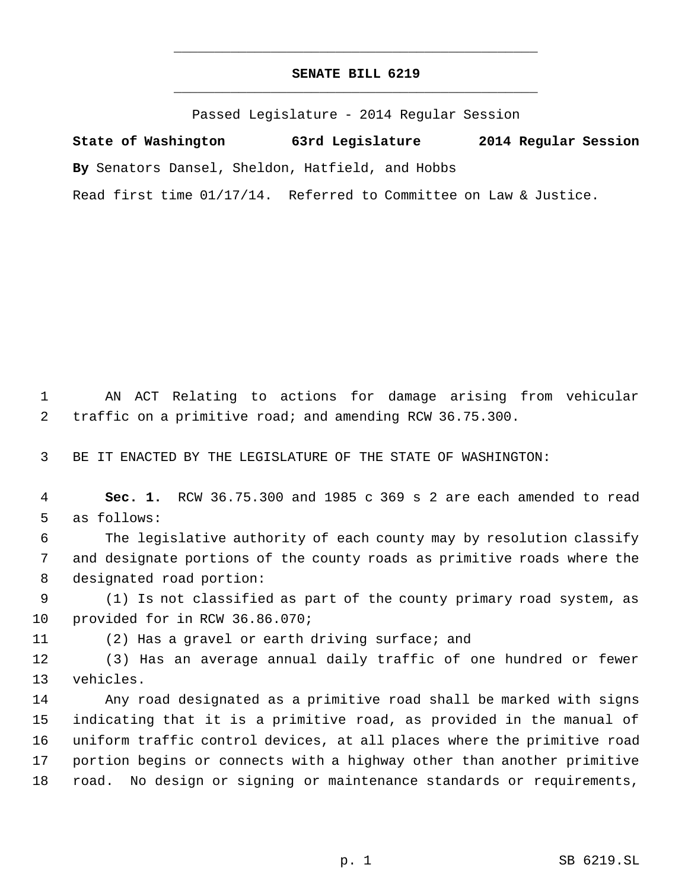## **SENATE BILL 6219** \_\_\_\_\_\_\_\_\_\_\_\_\_\_\_\_\_\_\_\_\_\_\_\_\_\_\_\_\_\_\_\_\_\_\_\_\_\_\_\_\_\_\_\_\_

\_\_\_\_\_\_\_\_\_\_\_\_\_\_\_\_\_\_\_\_\_\_\_\_\_\_\_\_\_\_\_\_\_\_\_\_\_\_\_\_\_\_\_\_\_

Passed Legislature - 2014 Regular Session

**State of Washington 63rd Legislature 2014 Regular Session By** Senators Dansel, Sheldon, Hatfield, and Hobbs Read first time 01/17/14. Referred to Committee on Law & Justice.

 AN ACT Relating to actions for damage arising from vehicular traffic on a primitive road; and amending RCW 36.75.300.

BE IT ENACTED BY THE LEGISLATURE OF THE STATE OF WASHINGTON:

 **Sec. 1.** RCW 36.75.300 and 1985 c 369 s 2 are each amended to read as follows:

 The legislative authority of each county may by resolution classify and designate portions of the county roads as primitive roads where the designated road portion:

 (1) Is not classified as part of the county primary road system, as provided for in RCW 36.86.070;

(2) Has a gravel or earth driving surface; and

 (3) Has an average annual daily traffic of one hundred or fewer vehicles.

 Any road designated as a primitive road shall be marked with signs indicating that it is a primitive road, as provided in the manual of uniform traffic control devices, at all places where the primitive road portion begins or connects with a highway other than another primitive road. No design or signing or maintenance standards or requirements,